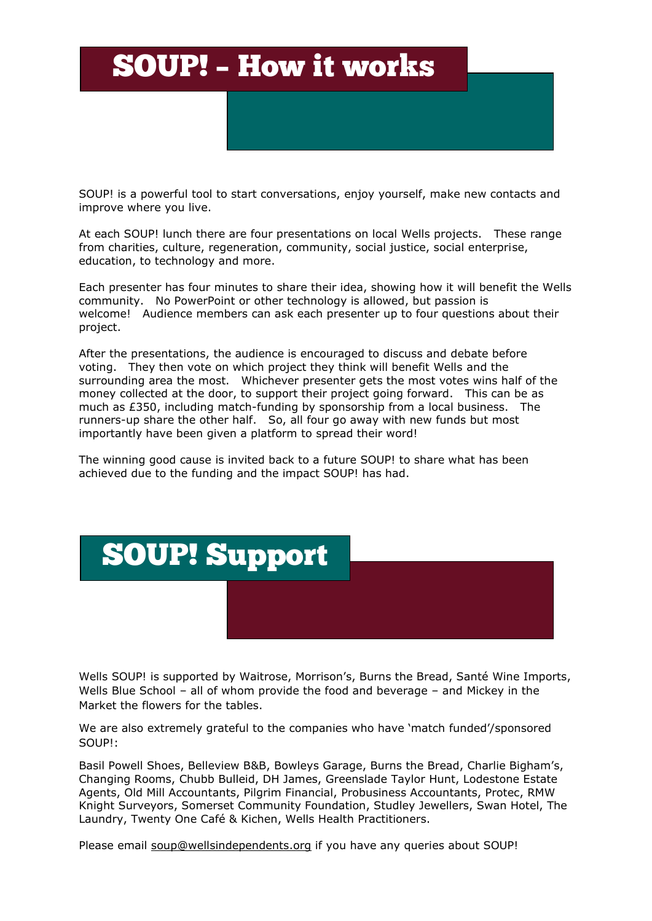## SOUP! – How it works

SOUP! is a powerful tool to start conversations, enjoy yourself, make new contacts and improve where you live.

At each SOUP! lunch there are four presentations on local Wells projects. These range from charities, culture, regeneration, community, social justice, social enterprise, education, to technology and more.

Each presenter has four minutes to share their idea, showing how it will benefit the Wells community. No PowerPoint or other technology is allowed, but passion is welcome! Audience members can ask each presenter up to four questions about their project.

After the presentations, the audience is encouraged to discuss and debate before voting. They then vote on which project they think will benefit Wells and the surrounding area the most. Whichever presenter gets the most votes wins half of the money collected at the door, to support their project going forward. This can be as much as £350, including match-funding by sponsorship from a local business. The runners-up share the other half. So, all four go away with new funds but most importantly have been given a platform to spread their word!

The winning good cause is invited back to a future SOUP! to share what has been achieved due to the funding and the impact SOUP! has had.



Wells SOUP! is supported by Waitrose, Morrison's, Burns the Bread, Santé Wine Imports, Wells Blue School – all of whom provide the food and beverage – and Mickey in the Market the flowers for the tables.

We are also extremely grateful to the companies who have 'match funded'/sponsored SOUP!:

Basil Powell Shoes, Belleview B&B, Bowleys Garage, Burns the Bread, Charlie Bigham's, Changing Rooms, Chubb Bulleid, DH James, Greenslade Taylor Hunt, Lodestone Estate Agents, Old Mill Accountants, Pilgrim Financial, Probusiness Accountants, Protec, RMW Knight Surveyors, Somerset Community Foundation, Studley Jewellers, Swan Hotel, The Laundry, Twenty One Café & Kichen, Wells Health Practitioners.

Please email [soup@wellsindependents.org](mailto:soup@wellsindependents.org) if you have any queries about SOUP!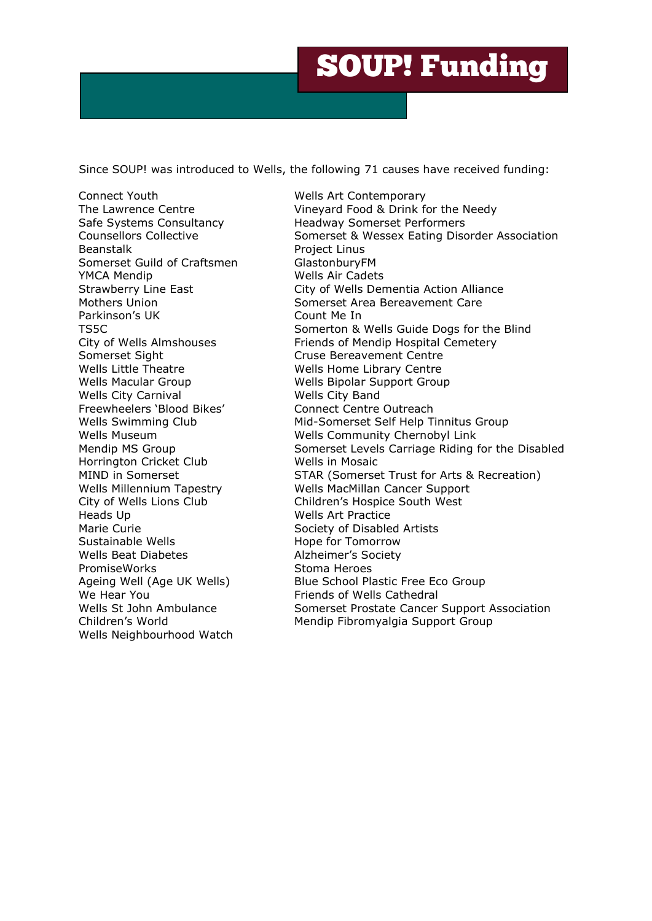## SOUP! Funding

Since SOUP! was introduced to Wells, the following 71 causes have received funding:

Connect Youth Wells Art Contemporary Beanstalk **Beanstalk Project Linus** Somerset Guild of Craftsmen GlastonburyFM YMCA Mendip Wells Air Cadets Parkinson's UK Count Me In Somerset Sight Cruse Bereavement Centre Wells Little Theatre Mells Home Library Centre Wells Macular Group Wells Bipolar Support Group Wells City Carnival Wells City Band Freewheelers 'Blood Bikes' Connect Centre Outreach Horrington Cricket Club Wells in Mosaic Heads Up **Wells Art Practice** Marie Curie **Marie Curie Society of Disabled Artists** Sustainable Wells **Hope for Tomorrow** Wells Beat Diabetes **Alzheimer's Society** PromiseWorks Stoma Heroes We Hear You **Friends** of Wells Cathedral Wells Neighbourhood Watch

The Lawrence Centre The Vineyard Food & Drink for the Needy Safe Systems Consultancy **Headway Somerset Performers** Counsellors Collective Somerset & Wessex Eating Disorder Association Strawberry Line East **City of Wells Dementia Action Alliance** Mothers Union Somerset Area Bereavement Care TS5C Somerton & Wells Guide Dogs for the Blind City of Wells Almshouses Friends of Mendip Hospital Cemetery Wells Swimming Club Mid-Somerset Self Help Tinnitus Group Wells Museum Wells Community Chernobyl Link Mendip MS Group Somerset Levels Carriage Riding for the Disabled MIND in Somerset STAR (Somerset Trust for Arts & Recreation) Wells Millennium Tapestry Wells MacMillan Cancer Support City of Wells Lions Club Children's Hospice South West Ageing Well (Age UK Wells) Blue School Plastic Free Eco Group Wells St John Ambulance Somerset Prostate Cancer Support Association Children's World Mendip Fibromyalgia Support Group